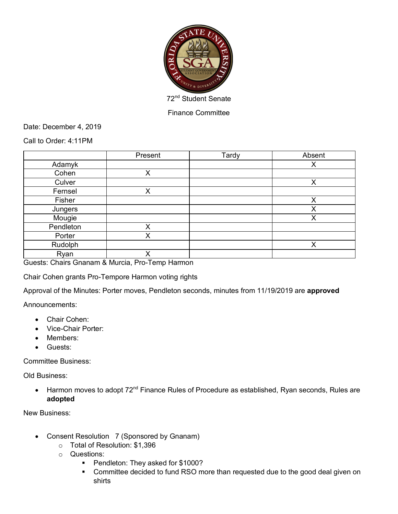

Finance Committee

Date: December 4, 2019

Call to Order: 4:11PM

|           | Present | Tardy | Absent |
|-----------|---------|-------|--------|
| Adamyk    |         |       | х      |
| Cohen     | X       |       |        |
| Culver    |         |       | X      |
| Fernsel   | X       |       |        |
| Fisher    |         |       | Χ      |
| Jungers   |         |       | Х      |
| Mougie    |         |       | Х      |
| Pendleton | X       |       |        |
| Porter    | Χ       |       |        |
| Rudolph   |         |       | X      |
| Ryan      | Χ       |       |        |

Guests: Chairs Gnanam & Murcia, Pro-Temp Harmon

Chair Cohen grants Pro-Tempore Harmon voting rights

Approval of the Minutes: Porter moves, Pendleton seconds, minutes from 11/19/2019 are **approved**

Announcements:

- Chair Cohen:
- Vice-Chair Porter:
- Members:
- Guests:

Committee Business:

Old Business:

• Harmon moves to adopt 72<sup>nd</sup> Finance Rules of Procedure as established, Ryan seconds, Rules are **adopted**

New Business:

- Consent Resolution 7 (Sponsored by Gnanam)
	- o Total of Resolution: \$1,396
	- o Questions:
		- Pendleton: They asked for \$1000?
		- Committee decided to fund RSO more than requested due to the good deal given on shirts